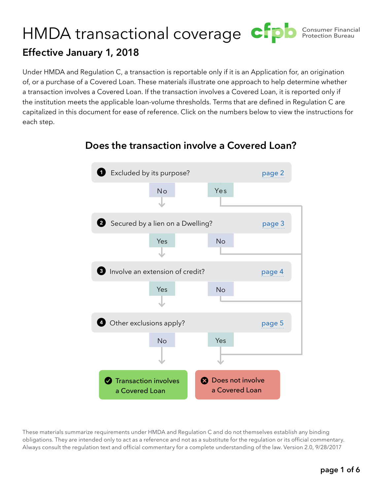# <span id="page-0-0"></span>Consumer Financial HMDA transactional coverage CFPD **Consumer Financi Effective January 1, 2018**

Under HMDA and Regulation C, a transaction is reportable only if it is an Application for, an origination of, or a purchase of a Covered Loan. These materials illustrate one approach to help determine whether a transaction involves a Covered Loan. If the transaction involves a Covered Loan, it is reported only if the institution meets the applicable loan-volume thresholds. Terms that are defined in Regulation C are capitalized in this document for ease of reference. Click on the numbers below to view the instructions for each step.



#### **Does the transaction involve a Covered Loan?**

These materials summarize requirements under HMDA and Regulation C and do not themselves establish any binding obligations. They are intended only to act as a reference and not as a substitute for the regulation or its official commentary. Always consult the regulation text and official commentary for a complete understanding of the law. Version 2.0, 9/28/2017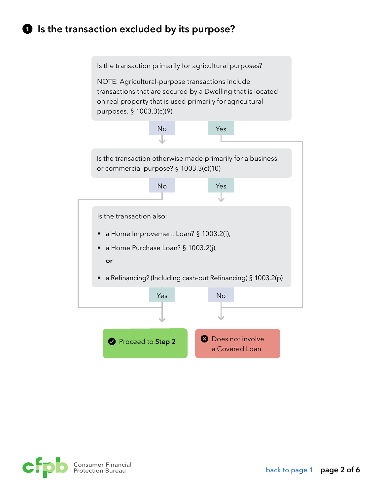## <span id="page-1-0"></span>**Is the transaction excluded by its purpose?**



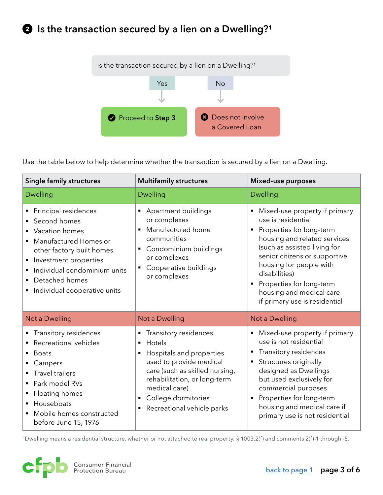<span id="page-2-0"></span>

Use the table below to help determine whether the transaction is secured by a lien on a Dwelling.

| <b>Single family structures</b>                                                                                                                                                                                                                 | <b>Multifamily structures</b>                                                                                                                                                                                                                                                | Mixed-use purposes                                                                                                                                                                                                                                                                                                                      |
|-------------------------------------------------------------------------------------------------------------------------------------------------------------------------------------------------------------------------------------------------|------------------------------------------------------------------------------------------------------------------------------------------------------------------------------------------------------------------------------------------------------------------------------|-----------------------------------------------------------------------------------------------------------------------------------------------------------------------------------------------------------------------------------------------------------------------------------------------------------------------------------------|
| <b>Dwelling</b>                                                                                                                                                                                                                                 | <b>Dwelling</b>                                                                                                                                                                                                                                                              | <b>Dwelling</b>                                                                                                                                                                                                                                                                                                                         |
| • Principal residences<br>Second homes<br>• Vacation homes<br>Manufactured Homes or<br>other factory built homes<br>Investment properties<br>Individual condominium units<br>Detached homes<br>Individual cooperative units                     | • Apartment buildings<br>or complexes<br>Manufactured home<br>$\blacksquare$<br>communities<br>• Condominium buildings<br>or complexes<br>Cooperative buildings<br>or complexes                                                                                              | Mixed-use property if primary<br>use is residential<br>Properties for long-term<br>$\blacksquare$<br>housing and related services<br>(such as assisted living for<br>senior citizens or supportive<br>housing for people with<br>disabilities)<br>Properties for long-term<br>housing and medical care<br>if primary use is residential |
| Not a Dwelling                                                                                                                                                                                                                                  | Not a Dwelling                                                                                                                                                                                                                                                               | Not a Dwelling                                                                                                                                                                                                                                                                                                                          |
| • Transitory residences<br>Recreational vehicles<br><b>Boats</b><br>$\blacksquare$<br>Campers<br><b>Travel trailers</b><br>Park model RVs<br>Floating homes<br>Houseboats<br>$\blacksquare$<br>Mobile homes constructed<br>before June 15, 1976 | Transitory residences<br>٠<br>Hotels<br>$\blacksquare$<br>Hospitals and properties<br>$\blacksquare$<br>used to provide medical<br>care (such as skilled nursing,<br>rehabilitation, or long-term<br>medical care)<br>College dormitories<br>٠<br>Recreational vehicle parks | Mixed-use property if primary<br>٠<br>use is not residential<br>Transitory residences<br>٠<br>Structures originally<br>designed as Dwellings<br>but used exclusively for<br>commercial purposes<br>Properties for long-term<br>$\blacksquare$<br>housing and medical care if<br>primary use is not residential                          |

<sup>1</sup>Dwelling means a residential structure, whether or not attached to real property. § 1003.2(f) and comments 2(f)-1 through -5.

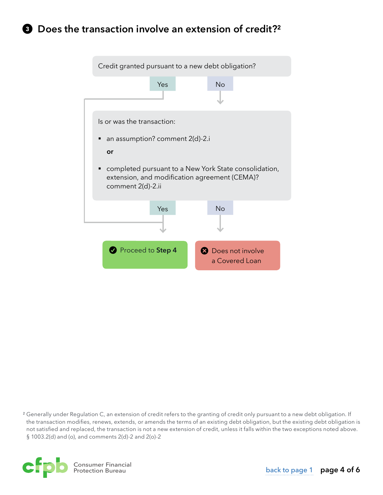## <span id="page-3-0"></span>**<sup>8</sup>** Does the transaction involve an extension of credit?<sup>2</sup>



<sup>2</sup> Generally under Regulation C, an extension of credit refers to the granting of credit only pursuant to a new debt obligation. If the transaction modifies, renews, extends, or amends the terms of an existing debt obligation, but the existing debt obligation is not satisfied and replaced, the transaction is not a new extension of credit, unless it falls within the two exceptions noted above. § 1003.2(d) and (o), and comments 2(d)-2 and 2(o)-2

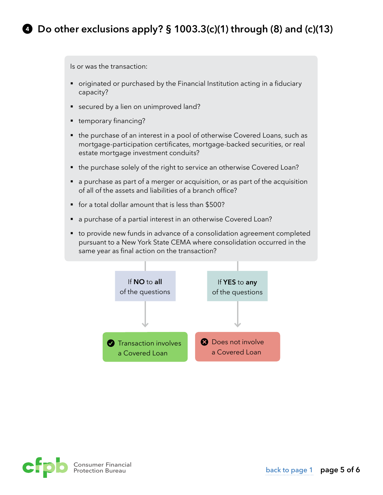<span id="page-4-0"></span>Is or was the transaction:

- originated or purchased by the Financial Institution acting in a fiduciary capacity?
- secured by a lien on unimproved land?
- temporary financing?
- the purchase of an interest in a pool of otherwise Covered Loans, such as mortgage-participation certificates, mortgage-backed securities, or real estate mortgage investment conduits?
- the purchase solely of the right to service an otherwise Covered Loan?
- a purchase as part of a merger or acquisition, or as part of the acquisition of all of the assets and liabilities of a branch office?
- § for a total dollar amount that is less than \$500?
- a purchase of a partial interest in an otherwise Covered Loan?
- to provide new funds in advance of a consolidation agreement completed pursuant to a New York State CEMA where consolidation occurred in the same year as final action on the transaction?